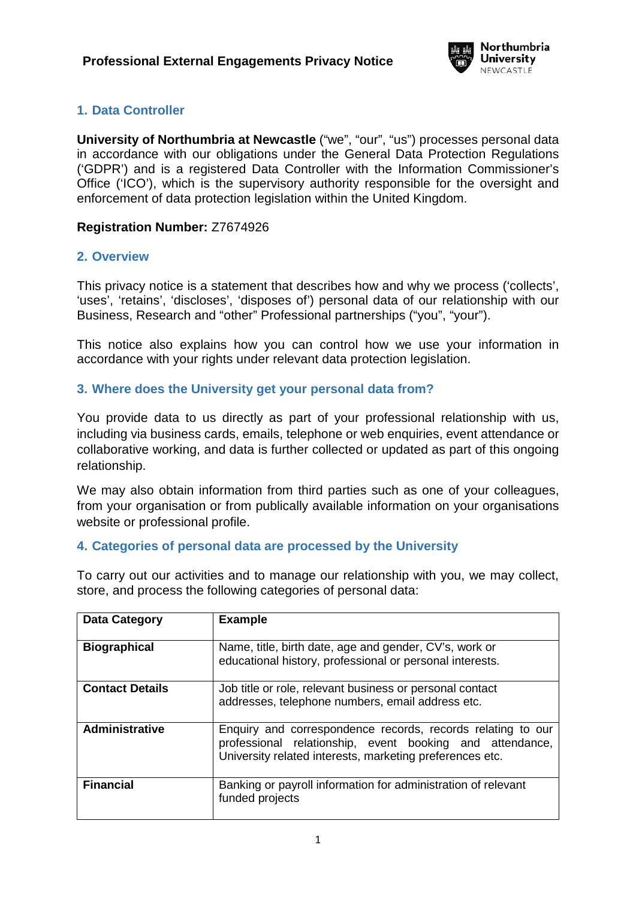

# **1. Data Controller**

**University of Northumbria at Newcastle** ("we", "our", "us") processes personal data in accordance with our obligations under the General Data Protection Regulations ('GDPR') and is a registered Data Controller with the Information Commissioner's Office ('ICO'), which is the supervisory authority responsible for the oversight and enforcement of data protection legislation within the United Kingdom.

#### **Registration Number:** Z7674926

#### **2. Overview**

This privacy notice is a statement that describes how and why we process ('collects', 'uses', 'retains', 'discloses', 'disposes of') personal data of our relationship with our Business, Research and "other" Professional partnerships ("you", "your").

This notice also explains how you can control how we use your information in accordance with your rights under relevant data protection legislation.

### **3. Where does the University get your personal data from?**

You provide data to us directly as part of your professional relationship with us, including via business cards, emails, telephone or web enquiries, event attendance or collaborative working, and data is further collected or updated as part of this ongoing relationship.

We may also obtain information from third parties such as one of your colleagues, from your organisation or from publically available information on your organisations website or professional profile.

### **4. Categories of personal data are processed by the University**

To carry out our activities and to manage our relationship with you, we may collect, store, and process the following categories of personal data:

| <b>Data Category</b>   | <b>Example</b>                                                                                                                                                                      |
|------------------------|-------------------------------------------------------------------------------------------------------------------------------------------------------------------------------------|
| <b>Biographical</b>    | Name, title, birth date, age and gender, CV's, work or<br>educational history, professional or personal interests.                                                                  |
| <b>Contact Details</b> | Job title or role, relevant business or personal contact<br>addresses, telephone numbers, email address etc.                                                                        |
| <b>Administrative</b>  | Enquiry and correspondence records, records relating to our<br>professional relationship, event booking and attendance,<br>University related interests, marketing preferences etc. |
| <b>Financial</b>       | Banking or payroll information for administration of relevant<br>funded projects                                                                                                    |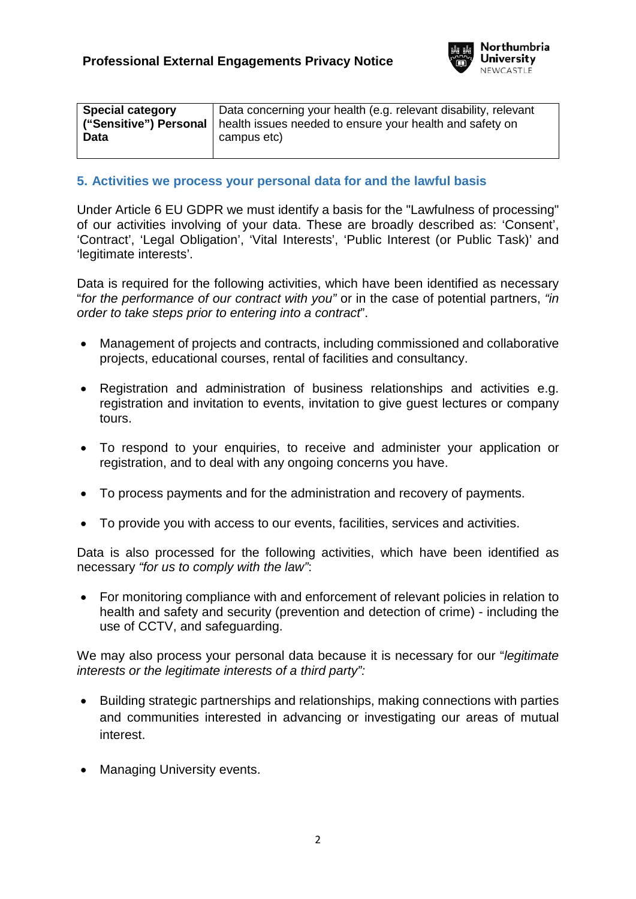

| <b>Special category</b> | Data concerning your health (e.g. relevant disability, relevant<br>("Sensitive") Personal   health issues needed to ensure your health and safety on |
|-------------------------|------------------------------------------------------------------------------------------------------------------------------------------------------|
| <b>Data</b>             | campus etc)                                                                                                                                          |

### **5. Activities we process your personal data for and the lawful basis**

Under Article 6 EU GDPR we must identify a basis for the "Lawfulness of processing" of our activities involving of your data. These are broadly described as: 'Consent', 'Contract', 'Legal Obligation', 'Vital Interests', 'Public Interest (or Public Task)' and 'legitimate interests'.

Data is required for the following activities, which have been identified as necessary "*for the performance of our contract with you"* or in the case of potential partners, *"in order to take steps prior to entering into a contract*".

- Management of projects and contracts, including commissioned and collaborative projects, educational courses, rental of facilities and consultancy.
- Registration and administration of business relationships and activities e.g. registration and invitation to events, invitation to give guest lectures or company tours.
- To respond to your enquiries, to receive and administer your application or registration, and to deal with any ongoing concerns you have.
- To process payments and for the administration and recovery of payments.
- To provide you with access to our events, facilities, services and activities.

Data is also processed for the following activities, which have been identified as necessary *"for us to comply with the law"*:

• For monitoring compliance with and enforcement of relevant policies in relation to health and safety and security (prevention and detection of crime) - including the use of CCTV, and safeguarding.

We may also process your personal data because it is necessary for our "*legitimate interests or the legitimate interests of a third party":*

- Building strategic partnerships and relationships, making connections with parties and communities interested in advancing or investigating our areas of mutual interest.
- **Managing University events.**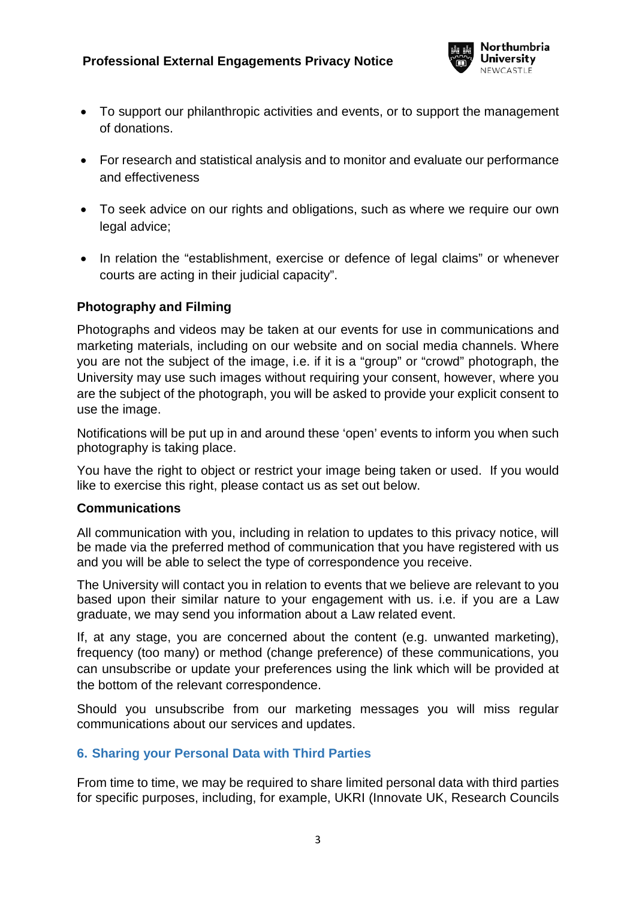

- To support our philanthropic activities and events, or to support the management of donations.
- For research and statistical analysis and to monitor and evaluate our performance and effectiveness
- To seek advice on our rights and obligations, such as where we require our own legal advice;
- In relation the "establishment, exercise or defence of legal claims" or whenever courts are acting in their judicial capacity".

### **Photography and Filming**

Photographs and videos may be taken at our events for use in communications and marketing materials, including on our website and on social media channels. Where you are not the subject of the image, i.e. if it is a "group" or "crowd" photograph, the University may use such images without requiring your consent, however, where you are the subject of the photograph, you will be asked to provide your explicit consent to use the image.

Notifications will be put up in and around these 'open' events to inform you when such photography is taking place.

You have the right to object or restrict your image being taken or used. If you would like to exercise this right, please contact us as set out below.

### <span id="page-2-0"></span>**Communications**

All communication with you, including in relation to updates to this privacy notice, will be made via the preferred method of communication that you have registered with us and you will be able to select the type of correspondence you receive.

The University will contact you in relation to events that we believe are relevant to you based upon their similar nature to your engagement with us. i.e. if you are a Law graduate, we may send you information about a Law related event.

If, at any stage, you are concerned about the content (e.g. unwanted marketing), frequency (too many) or method (change preference) of these communications, you can unsubscribe or update your preferences using the link which will be provided at the bottom of the relevant correspondence.

Should you unsubscribe from our marketing messages you will miss regular communications about our services and updates.

### **6. Sharing your Personal Data with Third Parties**

From time to time, we may be required to share limited personal data with third parties for specific purposes, including, for example, UKRI (Innovate UK, Research Councils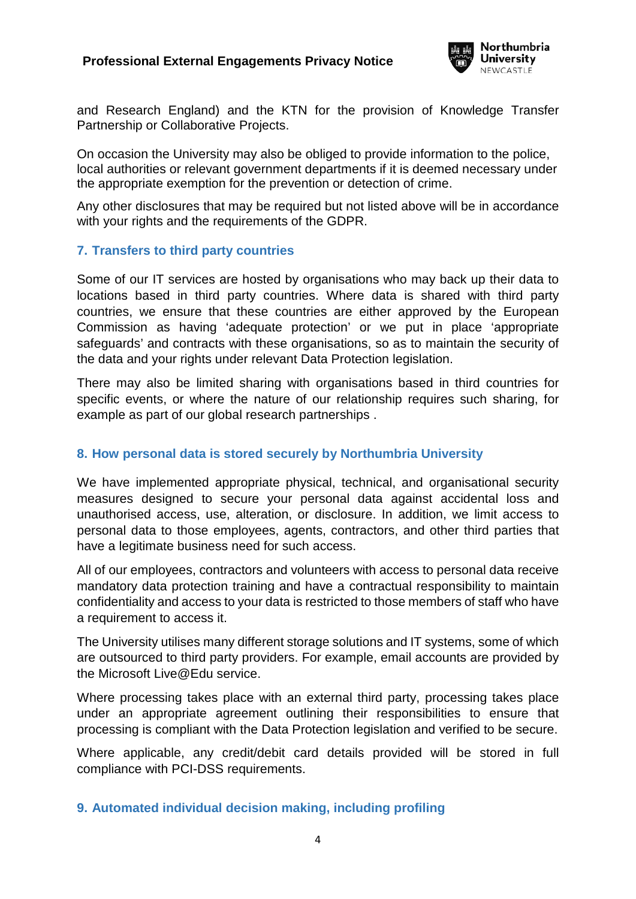

and Research England) and the KTN for the provision of Knowledge Transfer Partnership or Collaborative Projects.

On occasion the University may also be obliged to provide information to the police, local authorities or relevant government departments if it is deemed necessary under the appropriate exemption for the prevention or detection of crime.

Any other disclosures that may be required but not listed above will be in accordance with your rights and the requirements of the GDPR.

### **7. Transfers to third party countries**

Some of our IT services are hosted by organisations who may back up their data to locations based in third party countries. Where data is shared with third party countries, we ensure that these countries are either approved by the European Commission as having 'adequate protection' or we put in place 'appropriate safeguards' and contracts with these organisations, so as to maintain the security of the data and your rights under relevant Data Protection legislation.

There may also be limited sharing with organisations based in third countries for specific events, or where the nature of our relationship requires such sharing, for example as part of our global research partnerships .

# **8. How personal data is stored securely by Northumbria University**

We have implemented appropriate physical, technical, and organisational security measures designed to secure your personal data against accidental loss and unauthorised access, use, alteration, or disclosure. In addition, we limit access to personal data to those employees, agents, contractors, and other third parties that have a legitimate business need for such access.

All of our employees, contractors and volunteers with access to personal data receive mandatory data protection training and have a contractual responsibility to maintain confidentiality and access to your data is restricted to those members of staff who have a requirement to access it.

The University utilises many different storage solutions and IT systems, some of which are outsourced to third party providers. For example, email accounts are provided by the Microsoft Live@Edu service.

Where processing takes place with an external third party, processing takes place under an appropriate agreement outlining their responsibilities to ensure that processing is compliant with the Data Protection legislation and verified to be secure.

Where applicable, any credit/debit card details provided will be stored in full compliance with PCI-DSS requirements.

### **9. Automated individual decision making, including profiling**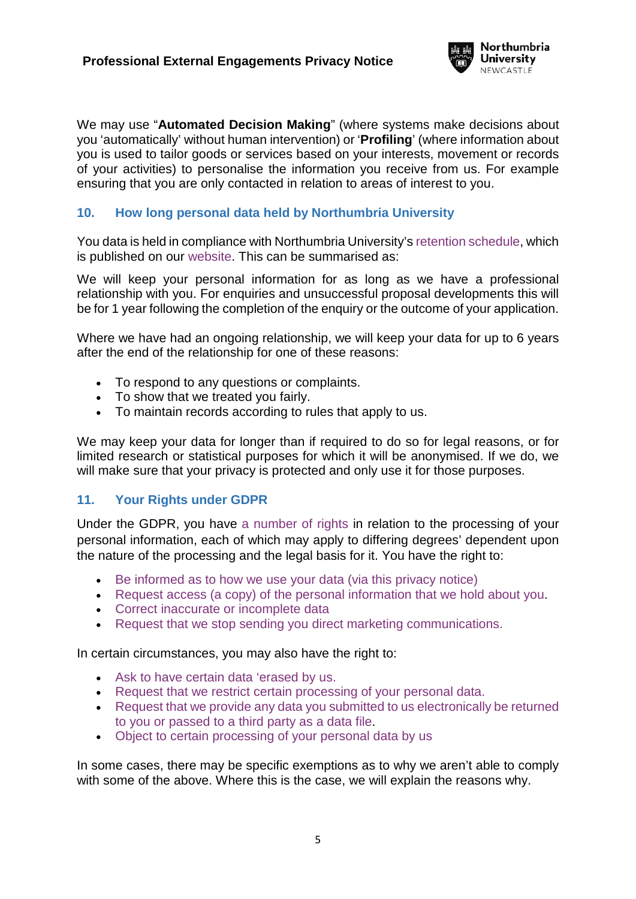

We may use "**Automated Decision Making**" (where systems make decisions about you 'automatically' without human intervention) or '**Profiling**' (where information about you is used to tailor goods or services based on your interests, movement or records of your activities) to personalise the information you receive from us. For example ensuring that you are only contacted in relation to areas of interest to you.

# **10. How long personal data held by Northumbria University**

You data is held in compliance with Northumbria University's [retention schedule,](https://www.northumbria.ac.uk/about-us/leadership-governance/vice-chancellors-office/legal-services-team/records-management/records-retention-schedule/) which is published on our [website.](https://www.northumbria.ac.uk/about-us/leadership-governance/vice-chancellors-office/legal-services-team/records-management/records-retention-schedule/) This can be summarised as:

We will keep your personal information for as long as we have a professional relationship with you. For enquiries and unsuccessful proposal developments this will be for 1 year following the completion of the enquiry or the outcome of your application.

Where we have had an ongoing relationship, we will keep your data for up to 6 years after the end of the relationship for one of these reasons:

- To respond to any questions or complaints.
- To show that we treated you fairly.
- To maintain records according to rules that apply to us.

We may keep your data for longer than if required to do so for legal reasons, or for limited research or statistical purposes for which it will be anonymised. If we do, we will make sure that your privacy is protected and only use it for those purposes.

### **11. Your Rights under GDPR**

Under the GDPR, you have [a number of rights](https://www.northumbria.ac.uk/about-us/leadership-governance/vice-chancellors-office/legal-services-team/gdpr/gdpr---rights-of-the-individual/) in relation to the processing of your personal information, each of which may apply to differing degrees' dependent upon the nature of the processing and the legal basis for it. You have the right to:

- [Be informed as to how we use your data \(via this privacy notice\)](https://www.northumbria.ac.uk/about-us/leadership-governance/vice-chancellors-office/legal-services-team/gdpr/gdpr---rights-of-the-individual/right-to-be-informed/)
- [Request access \(a copy\) of the personal information that we hold about you.](https://www.northumbria.ac.uk/about-us/leadership-governance/vice-chancellors-office/legal-services-team/gdpr/gdpr---rights-of-the-individual/right-to-subject-access/)
- [Correct inaccurate or incomplete data](https://www.northumbria.ac.uk/about-us/leadership-governance/vice-chancellors-office/legal-services-team/gdpr/gdpr---rights-of-the-individual/right-to-rectification/)
- [Request that we stop sending you direct marketing communications.](#page-2-0)

In certain circumstances, you may also have the right to:

- [Ask to have certain data 'erased by us.](https://www.northumbria.ac.uk/about-us/leadership-governance/vice-chancellors-office/legal-services-team/gdpr/gdpr---rights-of-the-individual/right-to-erasure/)
- [Request that we restrict certain processing of your personal data.](https://www.northumbria.ac.uk/about-us/leadership-governance/vice-chancellors-office/legal-services-team/gdpr/gdpr---rights-of-the-individual/right-to-restrict-processing/)
- Request that we provide any data [you submitted to us electronically be returned](https://www.northumbria.ac.uk/about-us/leadership-governance/vice-chancellors-office/legal-services-team/gdpr/gdpr---rights-of-the-individual/right-to-data-portability/)  [to you or passed to a third party as a data file.](https://www.northumbria.ac.uk/about-us/leadership-governance/vice-chancellors-office/legal-services-team/gdpr/gdpr---rights-of-the-individual/right-to-data-portability/)
- [Object to certain processing of your personal data by us](https://www.northumbria.ac.uk/about-us/leadership-governance/vice-chancellors-office/legal-services-team/gdpr/gdpr---rights-of-the-individual/right-to-object/)

In some cases, there may be specific exemptions as to why we aren't able to comply with some of the above. Where this is the case, we will explain the reasons why.